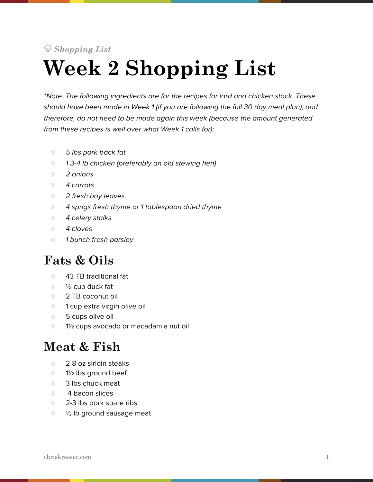# *Shopping List* **Week 2 Shopping List**

*\*Note: The following ingredients are for the recipes for lard and chicken stock. These should have been made in Week 1 (if you are following the full 30 day meal plan), and therefore, do not need to be made again this week (because the amount generated from these recipes is well over what Week 1 calls for):*

- *5 lbs pork back fat*
- *1 3-4 lb chicken (preferably an old stewing hen)*
- *2 onions*
- *4 carrots*
- *2 fresh bay leaves*
- *4 sprigs fresh thyme or 1 tablespoon dried thyme*
- *4 celery stalks*
- *4 cloves*
- *1 bunch fresh parsley*

# **Fats & Oils**

- 43 TB traditional fat
- $\blacksquare$   $\frac{1}{2}$  cup duck fat
- 2 TB coconut oil
- 1 cup extra virgin olive oil
- 5 cups olive oil
- $\Box$  1<sup>1</sup>/<sub>2</sub> cups avocado or macadamia nut oil

#### **Meat & Fish**

- 2 8 oz sirloin steaks
- 1½ lbs ground beef
- 3 lbs chuck meat
- 4 bacon slices
- 2-3 lbs pork spare ribs
- 1/2 lb ground sausage meat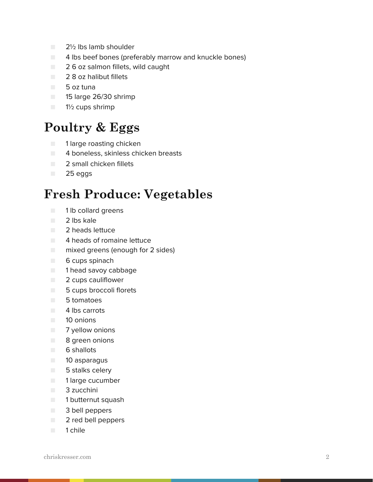- 2½ lbs lamb shoulder
- 4 lbs beef bones (preferably marrow and knuckle bones)
- 2 6 oz salmon fillets, wild caught
- 2 8 oz halibut fillets
- 5 oz tuna
- 15 large 26/30 shrimp
- **1** 1<sup>1</sup>/<sub>2</sub> cups shrimp

### **Poultry & Eggs**

- 1 large roasting chicken
- 4 boneless, skinless chicken breasts
- 2 small chicken fillets
- 25 eggs

### **Fresh Produce: Vegetables**

- 1 lb collard greens
- 2 lbs kale
- 2 heads lettuce
- 4 heads of romaine lettuce
- mixed greens (enough for 2 sides)
- 6 cups spinach
- 1 head savoy cabbage
- 2 cups cauliflower
- 5 cups broccoli florets
- 5 tomatoes
- 4 lbs carrots
- 10 onions
- 7 yellow onions
- 8 green onions
- 6 shallots
- 10 asparagus
- 5 stalks celery
- 1 large cucumber
- 3 zucchini
- 1 butternut squash
- 3 bell peppers
- 2 red bell peppers
- 1 chile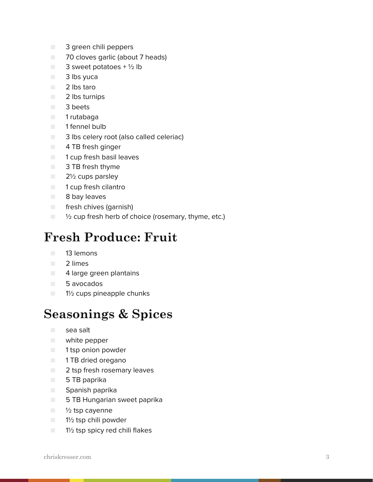- 3 green chili peppers
- 70 cloves garlic (about 7 heads)
- $\blacksquare$  3 sweet potatoes + 1/2 lb
- 3 lbs yuca
- 2 lbs taro
- 2 lbs turnips
- 3 beets
- 1 rutabaga
- 1 fennel bulb
- 3 lbs celery root (also called celeriac)
- 4 TB fresh ginger
- 1 cup fresh basil leaves
- 3 TB fresh thyme
- 2½ cups parsley
- 1 cup fresh cilantro
- 8 bay leaves
- fresh chives (garnish)
- <sup>1</sup>/<sub>2</sub> cup fresh herb of choice (rosemary, thyme, etc.)

## **Fresh Produce: Fruit**

- 13 lemons
- 2 limes
- 4 large green plantains
- 5 avocados
- 1½ cups pineapple chunks

#### **Seasonings & Spices**

- sea salt
- white pepper
- 1 tsp onion powder
- 1 TB dried oregano
- 2 tsp fresh rosemary leaves
- 5 TB paprika
- Spanish paprika
- 5 TB Hungarian sweet paprika
- $\blacksquare$   $\frac{1}{2}$  tsp cayenne
- 1½ tsp chili powder
- 1½ tsp spicy red chili flakes